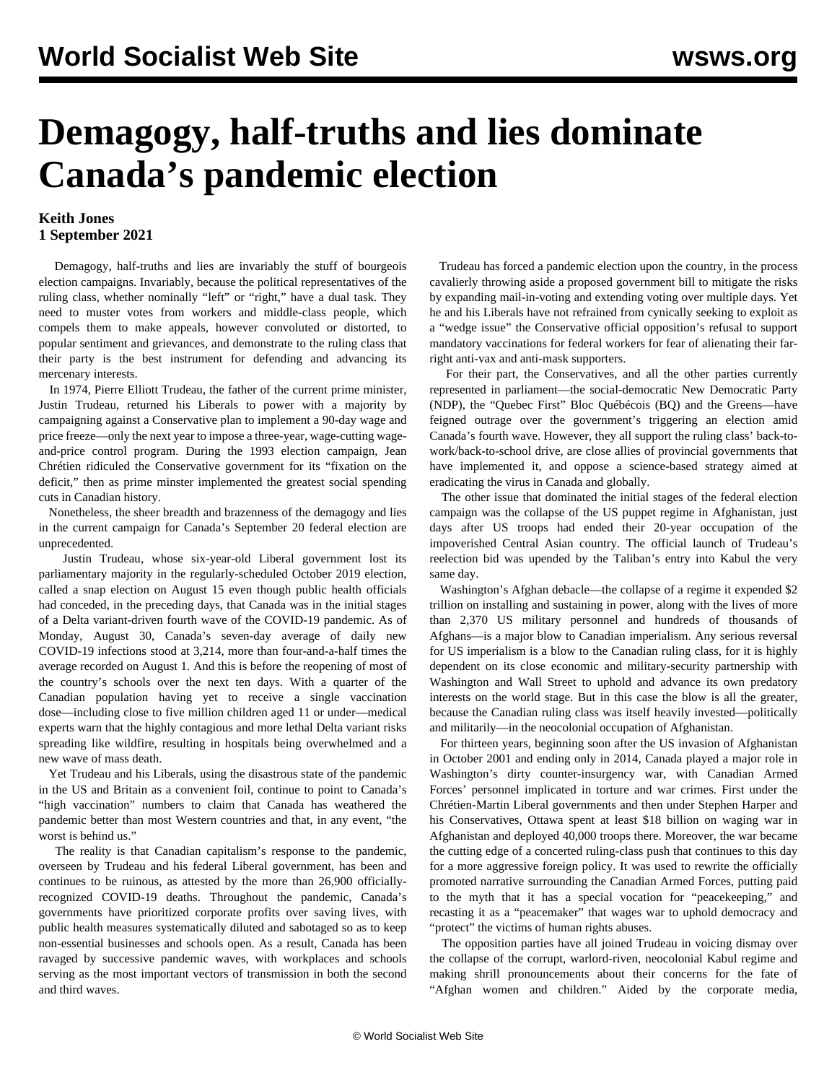## **Demagogy, half-truths and lies dominate Canada's pandemic election**

## **Keith Jones 1 September 2021**

 Demagogy, half-truths and lies are invariably the stuff of bourgeois election campaigns. Invariably, because the political representatives of the ruling class, whether nominally "left" or "right," have a dual task. They need to muster votes from workers and middle-class people, which compels them to make appeals, however convoluted or distorted, to popular sentiment and grievances, and demonstrate to the ruling class that their party is the best instrument for defending and advancing its mercenary interests.

 In 1974, Pierre Elliott Trudeau, the father of the current prime minister, Justin Trudeau, returned his Liberals to power with a majority by campaigning against a Conservative plan to implement a 90-day wage and price freeze—only the next year to impose a three-year, wage-cutting wageand-price control program. During the 1993 election campaign, Jean Chrétien ridiculed the Conservative government for its "fixation on the deficit," then as prime minster implemented the greatest social spending cuts in Canadian history.

 Nonetheless, the sheer breadth and brazenness of the demagogy and lies in the current campaign for Canada's September 20 federal election are unprecedented.

 Justin Trudeau, whose six-year-old Liberal government lost its parliamentary majority in the regularly-scheduled October 2019 election, called a snap election on August 15 even though public health officials had conceded, in the preceding days, that Canada was in the initial stages of a Delta variant-driven fourth wave of the COVID-19 pandemic. As of Monday, August 30, Canada's seven-day average of daily new COVID-19 infections stood at 3,214, more than four-and-a-half times the average recorded on August 1. And this is before the reopening of most of the country's schools over the next ten days. With a quarter of the Canadian population having yet to receive a single vaccination dose—including close to five million children aged 11 or under—medical experts warn that the highly contagious and more lethal Delta variant risks spreading like wildfire, resulting in hospitals being overwhelmed and a new wave of mass death.

 Yet Trudeau and his Liberals, using the disastrous state of the pandemic in the US and Britain as a convenient foil, continue to point to Canada's "high vaccination" numbers to claim that Canada has weathered the pandemic better than most Western countries and that, in any event, "the worst is behind us."

 The reality is that Canadian capitalism's response to the pandemic, overseen by Trudeau and his federal Liberal government, has been and continues to be ruinous, as attested by the more than 26,900 officiallyrecognized COVID-19 deaths. Throughout the pandemic, Canada's governments have prioritized corporate profits over saving lives, with public health measures systematically diluted and sabotaged so as to keep non-essential businesses and schools open. As a result, Canada has been ravaged by successive pandemic waves, with workplaces and schools serving as the most important vectors of transmission in both the second and third waves.

 Trudeau has forced a pandemic election upon the country, in the process cavalierly throwing aside a proposed government bill to mitigate the risks by expanding mail-in-voting and extending voting over multiple days. Yet he and his Liberals have not refrained from cynically seeking to exploit as a "wedge issue" the Conservative official opposition's refusal to support mandatory vaccinations for federal workers for fear of alienating their farright anti-vax and anti-mask supporters.

 For their part, the Conservatives, and all the other parties currently represented in parliament—the social-democratic New Democratic Party (NDP), the "Quebec First" Bloc Québécois (BQ) and the Greens—have feigned outrage over the government's triggering an election amid Canada's fourth wave. However, they all support the ruling class' back-towork/back-to-school drive, are close allies of provincial governments that have implemented it, and oppose a science-based strategy aimed at eradicating the virus in Canada and globally.

 The other issue that dominated the initial stages of the federal election campaign was the collapse of the US puppet regime in Afghanistan, just days after US troops had ended their 20-year occupation of the impoverished Central Asian country. The official launch of Trudeau's reelection bid was upended by the Taliban's entry into Kabul the very same day.

 Washington's Afghan debacle—the collapse of a regime it expended \$2 trillion on installing and sustaining in power, along with the lives of more than 2,370 US military personnel and hundreds of thousands of Afghans—is a major blow to Canadian imperialism. Any serious reversal for US imperialism is a blow to the Canadian ruling class, for it is highly dependent on its close economic and military-security partnership with Washington and Wall Street to uphold and advance its own predatory interests on the world stage. But in this case the blow is all the greater, because the Canadian ruling class was itself heavily invested—politically and militarily—in the neocolonial occupation of Afghanistan.

 For thirteen years, beginning soon after the US invasion of Afghanistan in October 2001 and ending only in 2014, Canada played a major role in Washington's dirty counter-insurgency war, with Canadian Armed Forces' personnel implicated in torture and war crimes. First under the Chrétien-Martin Liberal governments and then under Stephen Harper and his Conservatives, Ottawa spent at least \$18 billion on waging war in Afghanistan and deployed 40,000 troops there. Moreover, the war became the cutting edge of a concerted ruling-class push that continues to this day for a more aggressive foreign policy. It was used to rewrite the officially promoted narrative surrounding the Canadian Armed Forces, putting paid to the myth that it has a special vocation for "peacekeeping," and recasting it as a "peacemaker" that wages war to uphold democracy and "protect" the victims of human rights abuses.

 The opposition parties have all joined Trudeau in voicing dismay over the collapse of the corrupt, warlord-riven, neocolonial Kabul regime and making shrill pronouncements about their concerns for the fate of "Afghan women and children." Aided by the corporate media,